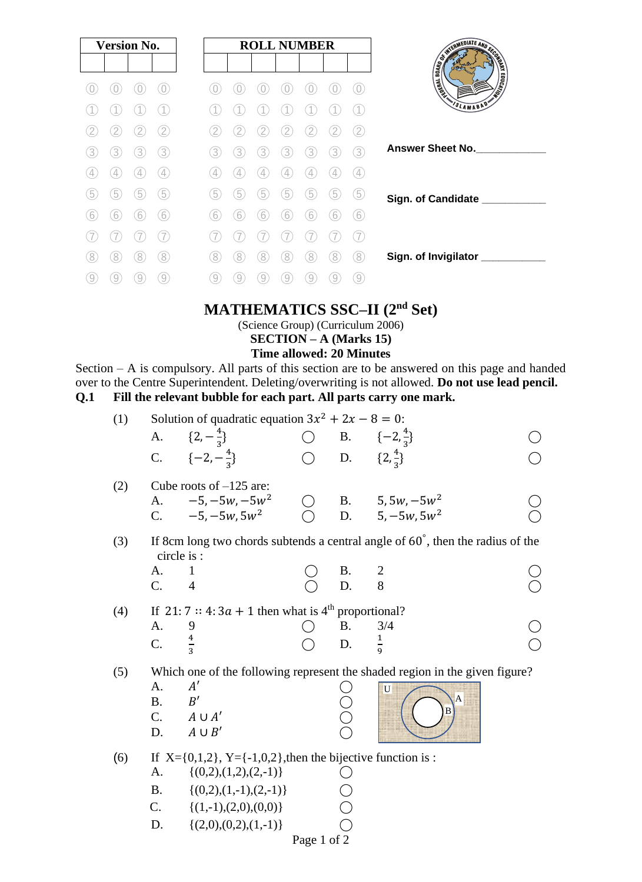|   | <b>Version No.</b> |   |                  |  | <b>ROLL NUMBER</b> |   |   |   |   |   | SWITCHLIFE AND SCOTLAND |                          |
|---|--------------------|---|------------------|--|--------------------|---|---|---|---|---|-------------------------|--------------------------|
|   |                    |   |                  |  |                    |   |   |   |   |   |                         |                          |
|   |                    |   |                  |  |                    |   |   |   |   |   | $\bigcirc$              | Limited Ave              |
|   |                    |   |                  |  |                    |   |   |   |   |   |                         | VSLAMABAD*               |
|   |                    |   | 2                |  |                    |   |   |   |   |   | 2                       |                          |
| 3 | 3                  | 3 | 3                |  | 3                  | 3 | 3 | 3 | 3 | 3 | 3                       | <b>Answer Sheet No.</b>  |
|   |                    |   | $\overline{4}$   |  |                    |   |   |   |   |   | $\left( 4\right)$       |                          |
| b | 5                  | 5 | $\left(5\right)$ |  | 5                  | 5 | 5 | 5 | 5 | 5 | 5                       | Sign. of Candidate ___   |
| 6 | 6                  | 6 | 6                |  | 6                  | 6 | 6 | 6 | 6 | 6 | 6                       |                          |
|   |                    |   |                  |  |                    |   |   |   |   |   | 7                       |                          |
| 8 | 8                  | 8 | 8                |  | 8                  | 8 | 8 | 8 | 8 | 8 | 8                       | Sign. of Invigilator ___ |
| 9 | 9                  |   | 9                |  | 9                  | 9 | 9 | 9 | 9 | 9 | 9                       |                          |

## **MATHEMATICS SSC–II (2nd Set)**

(Science Group) (Curriculum 2006)

**SECTION – A (Marks 15)**

#### **Time allowed: 20 Minutes**

Section – A is compulsory. All parts of this section are to be answered on this page and handed over to the Centre Superintendent. Deleting/overwriting is not allowed. **Do not use lead pencil. Q.1 Fill the relevant bubble for each part. All parts carry one mark.**

| (1) |                 | Solution of quadratic equation $3x^2 + 2x - 8 = 0$ :<br>A. $\{2, -\frac{4}{3}\}\$<br>C. $\{-2, -\frac{4}{3}\}$ | () D. $\{2,\frac{4}{3}\}\$ | $\bigcirc$ B. $\{-2, \frac{4}{3}\}$                                                      |  |
|-----|-----------------|----------------------------------------------------------------------------------------------------------------|----------------------------|------------------------------------------------------------------------------------------|--|
| (2) | A.              | Cube roots of $-125$ are:<br>$-5, -5w, -5w^2$                                                                  |                            |                                                                                          |  |
|     | C.              | $-5, -5w, 5w^2$                                                                                                |                            | ◯ B. 5, 5w, $-5w^2$<br>◯ D. 5, $-5w$ , 5w <sup>2</sup>                                   |  |
| (3) |                 | circle is :                                                                                                    |                            | If 8cm long two chords subtends a central angle of $60^{\circ}$ , then the radius of the |  |
|     | А.              | 1                                                                                                              | Β.                         | $\overline{2}$                                                                           |  |
|     | $\mathcal{C}$ . | $\overline{4}$                                                                                                 | D.                         | 8                                                                                        |  |
| (4) |                 | If 21:7 :: 4:3 <i>a</i> + 1 then what is 4 <sup>th</sup> proportional?                                         |                            |                                                                                          |  |
|     | A.              | 9                                                                                                              | <b>B.</b>                  | 3/4                                                                                      |  |
|     | C.              |                                                                                                                | D.                         | $\frac{1}{9}$                                                                            |  |
| (5) |                 |                                                                                                                |                            | Which one of the following represent the shaded region in the given figure?              |  |
|     | A.              | A'                                                                                                             |                            | U                                                                                        |  |
|     | <b>B.</b>       | B'                                                                                                             |                            | $\overline{A}$<br>B                                                                      |  |
|     |                 | $C. \qquad A \cup A'$                                                                                          |                            |                                                                                          |  |
|     | D.              | $A \cup B'$                                                                                                    |                            |                                                                                          |  |
| (6) |                 | If $X = \{0,1,2\}$ , $Y = \{-1,0,2\}$ , then the bijective function is:                                        |                            |                                                                                          |  |
|     | А.              | $\{(0,2),(1,2),(2,-1)\}\$                                                                                      |                            |                                                                                          |  |
|     | <b>B.</b>       | $\{(0,2),(1,-1),(2,-1)\}\$                                                                                     |                            |                                                                                          |  |
|     | C.              | $\{(1,-1),(2,0),(0,0)\}\$                                                                                      |                            |                                                                                          |  |
|     |                 |                                                                                                                |                            |                                                                                          |  |

D.  $\{(2,0),(0,2),(1,-1)\}\$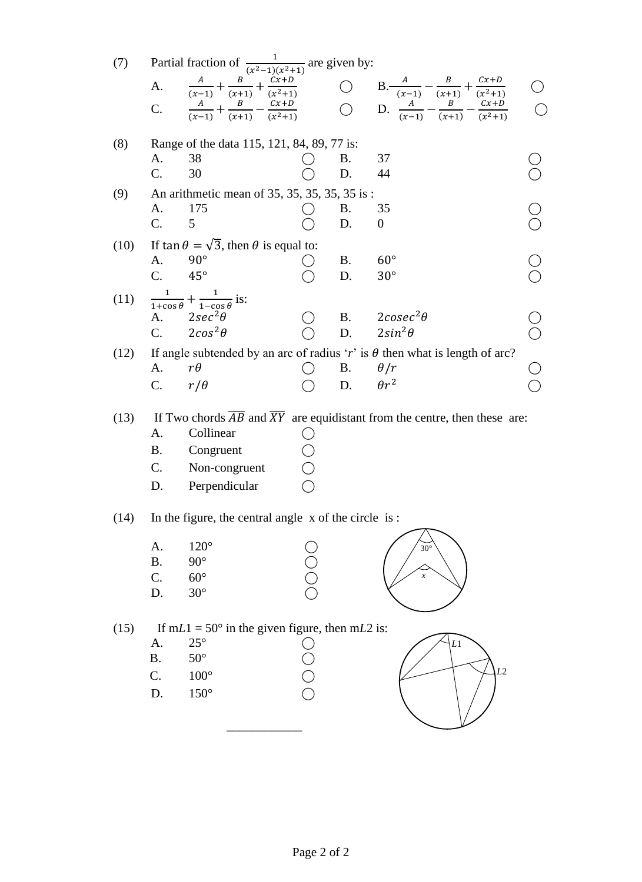| (7)  |                                         | Partial fraction of $\frac{1}{(x^2-1)(x^2+1)}$ are given by:                                                        |                  |                 | A. $\frac{A}{(x-1)} + \frac{B}{(x+1)} + \frac{Cx+D}{(x^2+1)}$<br>C. $\frac{A}{(x-1)} + \frac{B}{(x+1)} - \frac{Cx+D}{(x^2+1)}$<br>C. $\frac{A}{(x-1)} + \frac{B}{(x+1)} - \frac{Cx+D}{(x^2+1)}$<br>O. D. $\frac{A}{(x-1)} - \frac{B}{(x+1)} - \frac{Cx+D}{(x^2+1)}$ |                                      |
|------|-----------------------------------------|---------------------------------------------------------------------------------------------------------------------|------------------|-----------------|---------------------------------------------------------------------------------------------------------------------------------------------------------------------------------------------------------------------------------------------------------------------|--------------------------------------|
| (8)  | A.<br>C.                                | Range of the data 115, 121, 84, 89, 77 is:<br>38<br>30                                                              |                  | Β.<br>D.        | 37<br>44                                                                                                                                                                                                                                                            |                                      |
| (9)  | A.<br>C.                                | An arithmetic mean of 35, 35, 35, 35, 35 is:<br>175<br>5                                                            |                  | <b>B.</b><br>D. | 35<br>$\boldsymbol{0}$                                                                                                                                                                                                                                              | $\begin{matrix} 0 \\ 0 \end{matrix}$ |
| (10) | A.<br>$C_{\cdot}$                       | If $\tan \theta = \sqrt{3}$ , then $\theta$ is equal to:<br>$90^\circ$<br>$45^{\circ}$                              |                  | <b>B.</b><br>D. | $60^{\circ}$<br>$30^{\circ}$                                                                                                                                                                                                                                        | $\frac{1}{2}$                        |
| (11) | A.<br>$C_{\cdot}$                       | $\frac{1}{1+\cos\theta} + \frac{1}{1-\cos\theta}$ is:<br>$2sec^2\theta$<br>$2cos^2\theta$                           |                  | D.              | B. $2\csc^2\theta$<br>$2sin^2\theta$                                                                                                                                                                                                                                | $\bigcirc$                           |
| (12) | A.<br>$C_{\cdot}$                       | $r\theta$<br>$r/\theta$                                                                                             |                  | Β.<br>D.        | If angle subtended by an arc of radius 'r' is $\theta$ then what is length of arc?<br>$\theta/r$<br>$\theta r^2$                                                                                                                                                    | $\bigcirc$                           |
| (13) | А.<br><b>B.</b><br>C.<br>D.             | Collinear<br>Congruent<br>Non-congruent<br>Perpendicular                                                            |                  |                 | If Two chords $\overline{AB}$ and $\overline{XY}$ are equidistant from the centre, then these are:                                                                                                                                                                  |                                      |
| (14) |                                         | In the figure, the central angle x of the circle is :                                                               |                  |                 |                                                                                                                                                                                                                                                                     |                                      |
|      | A.<br><b>B.</b><br>$\mathbf{C}$ .<br>D. | $120^\circ$<br>$90^\circ$<br>$60^\circ$<br>$30^\circ$                                                               | ŎO               |                 | $30^\circ$<br>$\boldsymbol{x}$                                                                                                                                                                                                                                      |                                      |
| (15) | A.<br><b>B.</b><br>C.<br>D.             | If $mL1 = 50^\circ$ in the given figure, then mL2 is:<br>$25^{\circ}$<br>$50^\circ$<br>$100^{\circ}$<br>$150^\circ$ | U<br>0<br>0<br>0 |                 | L1<br>L2                                                                                                                                                                                                                                                            |                                      |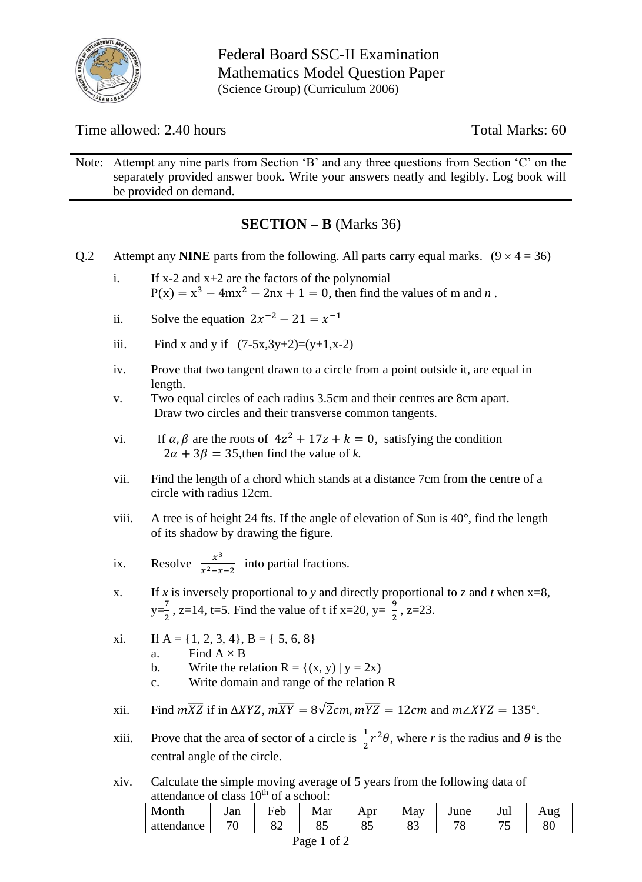

Time allowed: 2.40 hours Total Marks: 60

Note: Attempt any nine parts from Section 'B' and any three questions from Section 'C' on the separately provided answer book. Write your answers neatly and legibly. Log book will be provided on demand.

### **SECTION – B** (Marks 36)

- Q.2 Attempt any **NINE** parts from the following. All parts carry equal marks.  $(9 \times 4 = 36)$ 
	- i. If  $x-2$  and  $x+2$  are the factors of the polynomial  $P(x) = x^3 - 4mx^2 - 2nx + 1 = 0$ , then find the values of m and *n*.
	- ii. Solve the equation  $2x^{-2} 21 = x^{-1}$
	- iii. Find x and y if  $(7-5x,3y+2)=(y+1,x-2)$
	- iv. Prove that two tangent drawn to a circle from a point outside it, are equal in length.
	- v. Two equal circles of each radius 3.5cm and their centres are 8cm apart. Draw two circles and their transverse common tangents.
	- vi. If  $\alpha$ ,  $\beta$  are the roots of  $4z^2 + 17z + k = 0$ , satisfying the condition  $2\alpha + 3\beta = 35$ , then find the value of *k*.
	- vii. Find the length of a chord which stands at a distance 7cm from the centre of a circle with radius 12cm.
	- viii. A tree is of height 24 fts. If the angle of elevation of Sun is  $40^{\circ}$ , find the length of its shadow by drawing the figure.
	- ix. Resolve  $\frac{x^3}{x^2}$  $\frac{x}{x^2-x-2}$  into partial fractions.
	- x. If *x* is inversely proportional to *y* and directly proportional to *z* and *t* when  $x=8$ ,  $y=\frac{7}{3}$  $\frac{7}{2}$ , z=14, t=5. Find the value of t if x=20, y=  $\frac{9}{2}$ , z=23.
	- xi. If  $A = \{1, 2, 3, 4\}$ ,  $B = \{5, 6, 8\}$ a. Find  $A \times B$ 
		- b. Write the relation  $R = \{(x, y) | y = 2x\}$
		- c. Write domain and range of the relation R
	- xii. Find  $m\overline{XZ}$  if in  $\Delta XYZ$ ,  $m\overline{XY} = 8\sqrt{2}cm$ ,  $m\overline{YZ} = 12cm$  and  $m\angle XYZ = 135^{\circ}$ .
	- xiii. Prove that the area of sector of a circle is  $\frac{1}{2}r^2\theta$ , where *r* is the radius and  $\theta$  is the central angle of the circle.
	- xiv. Calculate the simple moving average of 5 years from the following data of attendance of class  $10<sup>th</sup>$  of a school:

| ***************************** |         |     |     |     |     |         |        |     |  |  |  |  |
|-------------------------------|---------|-----|-----|-----|-----|---------|--------|-----|--|--|--|--|
| Month                         | Jan     | Feb | Mar | Apr | May | June    | Jul    | Aug |  |  |  |  |
| attendance                    | 70<br>◡ | o∠  | ის  | ບຸ  | ບຸ  | 70<br>◡ | –<br>ັ | 80  |  |  |  |  |
| -                             |         |     |     |     |     |         |        |     |  |  |  |  |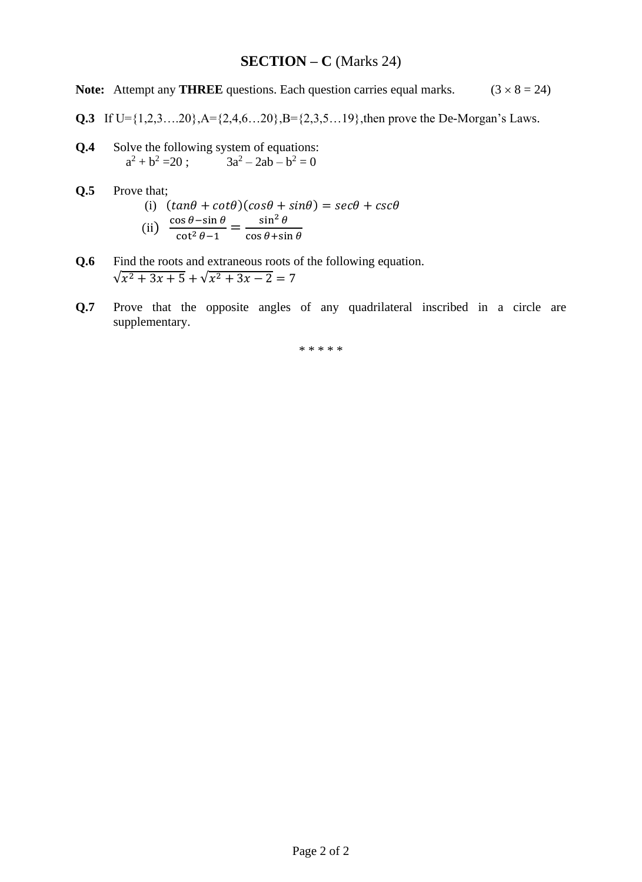#### **SECTION – C** (Marks 24)

**Note:** Attempt any **THREE** questions. Each question carries equal marks.  $(3 \times 8 = 24)$ 

- **Q.3** If  $U = \{1, 2, 3, \ldots, 20\}$ ,  $A = \{2, 4, 6, \ldots, 20\}$ ,  $B = \{2, 3, 5, \ldots, 19\}$ , then prove the De-Morgan's Laws.
- **Q.4** Solve the following system of equations:  $a^2 + b^2 = 20$ ;  $3a^2 - 2ab - b^2 = 0$
- **Q.5** Prove that; (i)  $(tan\theta + cot\theta)(cos\theta + sin\theta) = sec\theta + csc\theta$ (ii)  $\frac{\cos \theta - \sin \theta}{\cot^2 \theta - 1} = \frac{\sin^2 \theta}{\cos \theta + \sin^2 \theta}$  $\cos\theta + \sin\theta$
- **Q.6** Find the roots and extraneous roots of the following equation.  $\sqrt{x^2+3x+5} + \sqrt{x^2+3x-2} = 7$
- **Q.7** Prove that the opposite angles of any quadrilateral inscribed in a circle are supplementary.

\* \* \* \* \*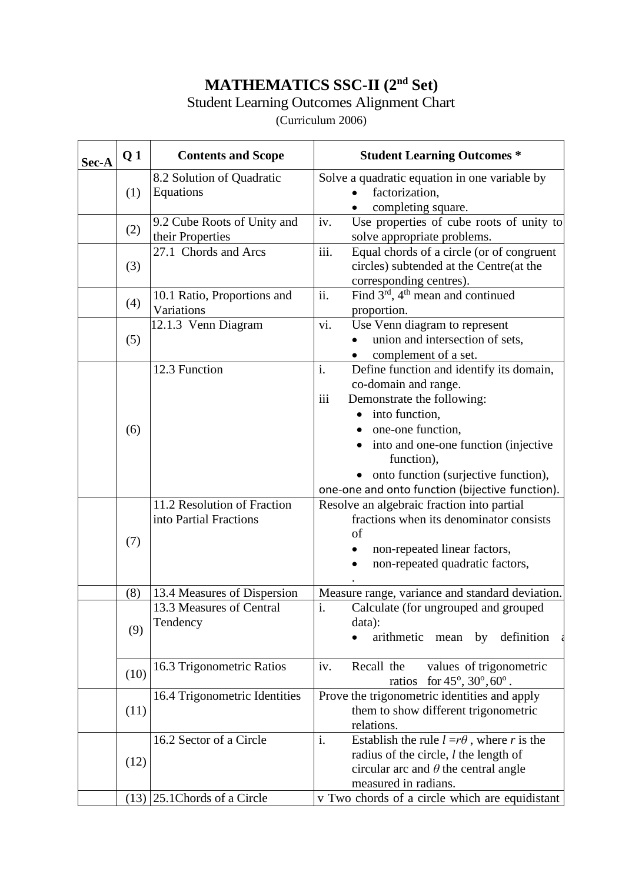### **MATHEMATICS SSC-II (2nd Set)**

#### Student Learning Outcomes Alignment Chart

(Curriculum 2006)

| Sec-A | Q <sub>1</sub> | <b>Contents and Scope</b>                             | <b>Student Learning Outcomes *</b>                                                                                                                                                                                                                                                                      |
|-------|----------------|-------------------------------------------------------|---------------------------------------------------------------------------------------------------------------------------------------------------------------------------------------------------------------------------------------------------------------------------------------------------------|
|       | (1)            | 8.2 Solution of Quadratic<br>Equations                | Solve a quadratic equation in one variable by<br>factorization,<br>$\bullet$<br>completing square.                                                                                                                                                                                                      |
|       | (2)            | 9.2 Cube Roots of Unity and<br>their Properties       | Use properties of cube roots of unity to<br>iv.<br>solve appropriate problems.                                                                                                                                                                                                                          |
|       | (3)            | 27.1 Chords and Arcs                                  | iii.<br>Equal chords of a circle (or of congruent<br>circles) subtended at the Centre(at the<br>corresponding centres).                                                                                                                                                                                 |
|       | (4)            | 10.1 Ratio, Proportions and<br>Variations             | ii.<br>Find $3^{rd}$ , 4 <sup>th</sup> mean and continued<br>proportion.                                                                                                                                                                                                                                |
|       | (5)            | 12.1.3 Venn Diagram                                   | vi.<br>Use Venn diagram to represent<br>union and intersection of sets,<br>complement of a set.<br>$\bullet$                                                                                                                                                                                            |
|       | (6)            | 12.3 Function                                         | i.<br>Define function and identify its domain,<br>co-domain and range.<br>iii<br>Demonstrate the following:<br>• into function,<br>one-one function,<br>into and one-one function (injective<br>function),<br>• onto function (surjective function),<br>one-one and onto function (bijective function). |
|       | (7)            | 11.2 Resolution of Fraction<br>into Partial Fractions | Resolve an algebraic fraction into partial<br>fractions when its denominator consists<br>of<br>non-repeated linear factors,<br>non-repeated quadratic factors,                                                                                                                                          |
|       | (8)            | 13.4 Measures of Dispersion                           | Measure range, variance and standard deviation.                                                                                                                                                                                                                                                         |
|       | (9)            | 13.3 Measures of Central<br>Tendency                  | $\mathbf{i}$ .<br>Calculate (for ungrouped and grouped<br>data):<br>arithmetic mean by<br>definition                                                                                                                                                                                                    |
|       | (10)           | 16.3 Trigonometric Ratios                             | Recall the<br>iv.<br>values of trigonometric<br>ratios for $45^{\circ}$ , $30^{\circ}$ , $60^{\circ}$ .                                                                                                                                                                                                 |
|       | (11)           | 16.4 Trigonometric Identities                         | Prove the trigonometric identities and apply<br>them to show different trigonometric<br>relations.                                                                                                                                                                                                      |
|       | (12)           | 16.2 Sector of a Circle                               | i.<br>Establish the rule $l = r\theta$ , where r is the<br>radius of the circle, $l$ the length of<br>circular arc and $\theta$ the central angle<br>measured in radians.                                                                                                                               |
|       |                | $(13)$ 25.1 Chords of a Circle                        | v Two chords of a circle which are equidistant                                                                                                                                                                                                                                                          |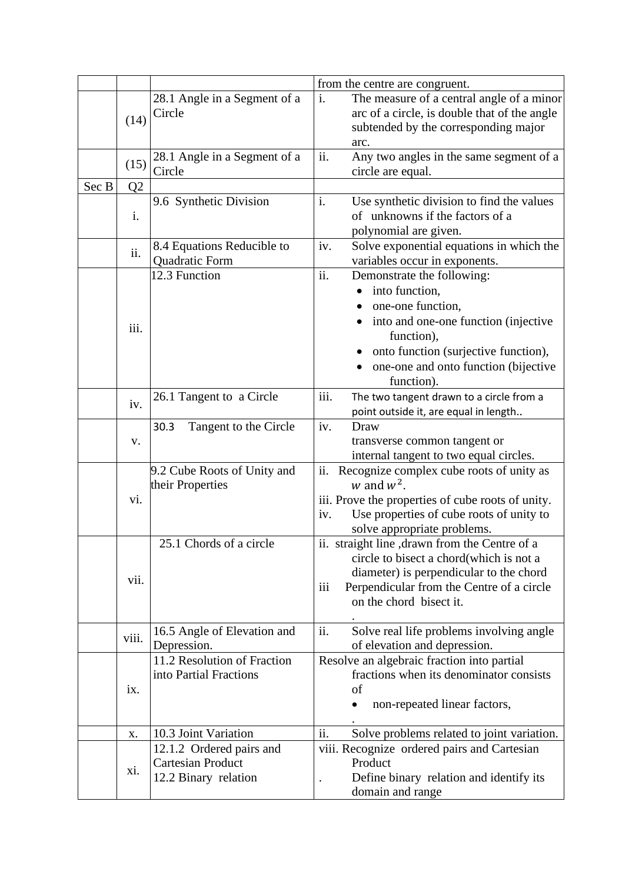|       |                |                               |      | from the centre are congruent.                    |
|-------|----------------|-------------------------------|------|---------------------------------------------------|
|       |                | 28.1 Angle in a Segment of a  | i.   | The measure of a central angle of a minor         |
|       | (14)           | Circle                        |      | arc of a circle, is double that of the angle      |
|       |                |                               |      | subtended by the corresponding major              |
|       |                |                               |      | arc.                                              |
|       |                | 28.1 Angle in a Segment of a  | ii.  | Any two angles in the same segment of a           |
|       | (15)           | Circle                        |      | circle are equal.                                 |
| Sec B | Q <sub>2</sub> |                               |      |                                                   |
|       |                | 9.6 Synthetic Division        | i.   | Use synthetic division to find the values         |
|       | i.             |                               |      | of unknowns if the factors of a                   |
|       |                |                               |      | polynomial are given.                             |
|       |                | 8.4 Equations Reducible to    | iv.  | Solve exponential equations in which the          |
|       | ii.            | Quadratic Form                |      | variables occur in exponents.                     |
|       |                | 12.3 Function                 | ii.  | Demonstrate the following:                        |
|       |                |                               |      | into function,                                    |
|       |                |                               |      | one-one function,<br>$\bullet$                    |
|       |                |                               |      | into and one-one function (injective              |
|       | iii.           |                               |      | function),                                        |
|       |                |                               |      | onto function (surjective function),              |
|       |                |                               |      | one-one and onto function (bijective              |
|       |                |                               |      | function).                                        |
|       |                | 26.1 Tangent to a Circle      | iii. | The two tangent drawn to a circle from a          |
|       | iv.            |                               |      | point outside it, are equal in length             |
|       |                | 30.3<br>Tangent to the Circle | iv.  | Draw                                              |
|       | V.             |                               |      | transverse common tangent or                      |
|       |                |                               |      | internal tangent to two equal circles.            |
|       |                | 9.2 Cube Roots of Unity and   | ii.  | Recognize complex cube roots of unity as          |
|       |                | their Properties              |      | w and $w^2$ .                                     |
|       | vi.            |                               |      | iii. Prove the properties of cube roots of unity. |
|       |                |                               | iv.  | Use properties of cube roots of unity to          |
|       |                |                               |      | solve appropriate problems.                       |
|       |                | 25.1 Chords of a circle       |      | ii. straight line , drawn from the Centre of a    |
|       |                |                               |      | circle to bisect a chord(which is not a           |
|       | vii.           |                               |      | diameter) is perpendicular to the chord           |
|       |                |                               | iii  | Perpendicular from the Centre of a circle         |
|       |                |                               |      | on the chord bisect it.                           |
|       |                |                               |      |                                                   |
|       | viii.          | 16.5 Angle of Elevation and   | ii.  | Solve real life problems involving angle          |
|       |                | Depression.                   |      | of elevation and depression.                      |
|       |                | 11.2 Resolution of Fraction   |      | Resolve an algebraic fraction into partial        |
|       |                | into Partial Fractions        |      | fractions when its denominator consists           |
|       | ix.            |                               |      | of                                                |
|       |                |                               |      | non-repeated linear factors,                      |
|       |                |                               |      |                                                   |
|       | Х.             | 10.3 Joint Variation          | ii.  | Solve problems related to joint variation.        |
|       |                | 12.1.2 Ordered pairs and      |      | viii. Recognize ordered pairs and Cartesian       |
|       | xi.            | <b>Cartesian Product</b>      |      | Product                                           |
|       |                | 12.2 Binary relation          |      | Define binary relation and identify its           |
|       |                |                               |      | domain and range                                  |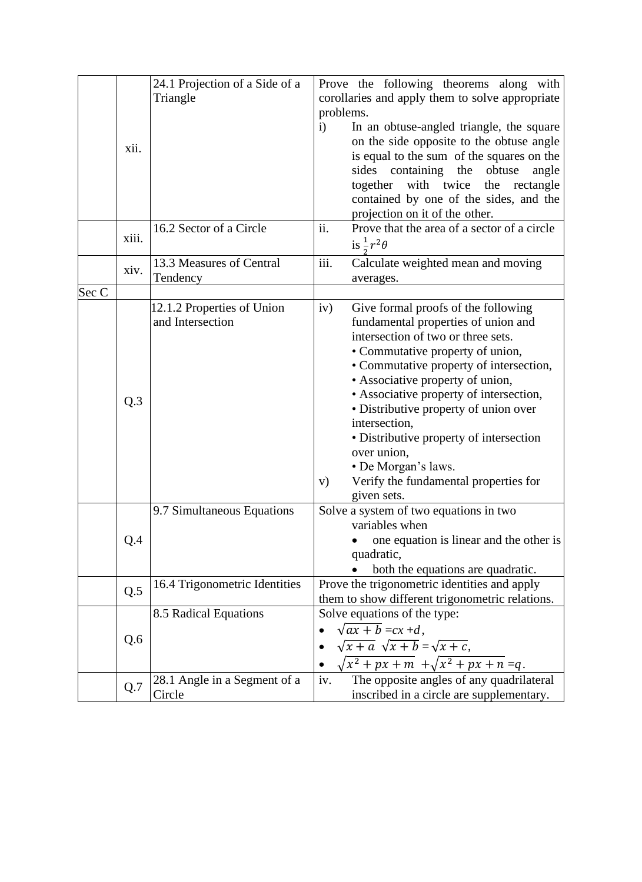|       |       | 24.1 Projection of a Side of a |              | Prove the following theorems along with         |
|-------|-------|--------------------------------|--------------|-------------------------------------------------|
|       |       | Triangle                       |              | corollaries and apply them to solve appropriate |
|       |       |                                | problems.    |                                                 |
|       |       |                                | $\mathbf{i}$ | In an obtuse-angled triangle, the square        |
|       |       |                                |              | on the side opposite to the obtuse angle        |
|       | xii.  |                                |              | is equal to the sum of the squares on the       |
|       |       |                                |              | containing the<br>sides<br>obtuse<br>angle      |
|       |       |                                |              | together with twice the rectangle               |
|       |       |                                |              | contained by one of the sides, and the          |
|       |       |                                |              | projection on it of the other.                  |
|       |       | 16.2 Sector of a Circle        | ii.          | Prove that the area of a sector of a circle     |
|       | xiii. |                                |              | is $\frac{1}{r^2\theta}$                        |
|       |       | 13.3 Measures of Central       | iii.         |                                                 |
|       | xiv.  |                                |              | Calculate weighted mean and moving              |
| Sec C |       | Tendency                       |              | averages.                                       |
|       |       | 12.1.2 Properties of Union     | iv)          | Give formal proofs of the following             |
|       |       | and Intersection               |              | fundamental properties of union and             |
|       |       |                                |              | intersection of two or three sets.              |
|       |       |                                |              | • Commutative property of union,                |
|       |       |                                |              |                                                 |
|       |       |                                |              | • Commutative property of intersection,         |
|       |       |                                |              | • Associative property of union,                |
|       | Q.3   |                                |              | • Associative property of intersection,         |
|       |       |                                |              | • Distributive property of union over           |
|       |       |                                |              | intersection,                                   |
|       |       |                                |              | • Distributive property of intersection         |
|       |       |                                |              | over union,                                     |
|       |       |                                |              | • De Morgan's laws.                             |
|       |       |                                | V)           | Verify the fundamental properties for           |
|       |       |                                |              | given sets.                                     |
|       |       | 9.7 Simultaneous Equations     |              | Solve a system of two equations in two          |
|       |       |                                |              | variables when                                  |
|       | Q.4   |                                |              | • one equation is linear and the other is       |
|       |       |                                |              | quadratic,                                      |
|       |       |                                |              | both the equations are quadratic.               |
|       | Q.5   | 16.4 Trigonometric Identities  |              | Prove the trigonometric identities and apply    |
|       |       |                                |              | them to show different trigonometric relations. |
|       |       | 8.5 Radical Equations          |              | Solve equations of the type:                    |
|       |       |                                |              | $\sqrt{ax+b} = cx+d$ ,                          |
|       | Q.6   |                                |              | $\sqrt{x+a} \sqrt{x+b} = \sqrt{x+c}$ ,          |
|       |       |                                |              | $\sqrt{x^2+px+m} + \sqrt{x^2+px+n} = q.$        |
|       |       | 28.1 Angle in a Segment of a   | iv.          | The opposite angles of any quadrilateral        |
|       | Q.7   | Circle                         |              | inscribed in a circle are supplementary.        |
|       |       |                                |              |                                                 |